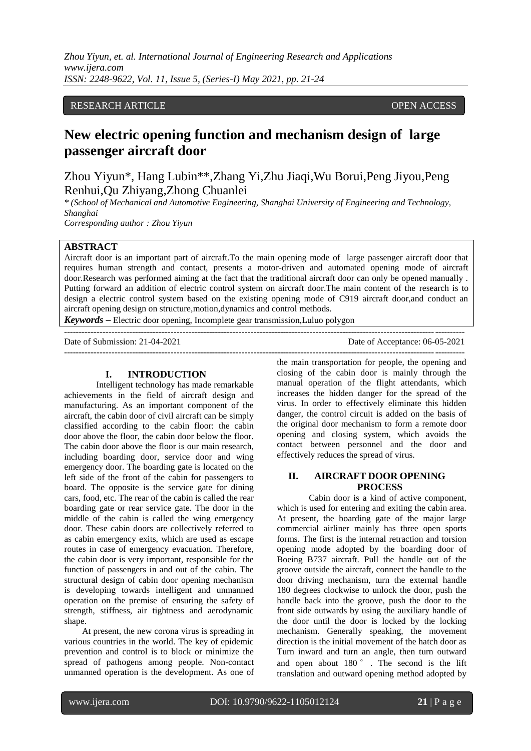*Zhou Yiyun, et. al. International Journal of Engineering Research and Applications www.ijera.com ISSN: 2248-9622, Vol. 11, Issue 5, (Series-I) May 2021, pp. 21-24*

## RESEARCH ARTICLE **OPEN ACCESS**

# **New electric opening function and mechanism design of large passenger aircraft door**

Zhou Yiyun\*, Hang Lubin\*\*,Zhang Yi,Zhu Jiaqi,Wu Borui,Peng Jiyou,Peng Renhui,Qu Zhiyang,Zhong Chuanlei

*\* (School of Mechanical and Automotive Engineering, Shanghai University of Engineering and Technology, Shanghai Corresponding author : Zhou Yiyun*

**ABSTRACT**

Aircraft door is an important part of aircraft.To the main opening mode of large passenger aircraft door that requires human strength and contact, presents a motor-driven and automated opening mode of aircraft door.Research was performed aiming at the fact that the traditional aircraft door can only be opened manually . Putting forward an addition of electric control system on aircraft door.The main content of the research is to design a electric control system based on the existing opening mode of C919 aircraft door,and conduct an aircraft opening design on structure,motion,dynamics and control methods.

---------------------------------------------------------------------------------------------------------------------------------------

*Keywords* **–** Electric door opening, Incomplete gear transmission,Luluo polygon ---------------------------------------------------------------------------------------------------------------------------------------

Date of Submission: 21-04-2021 Date of Acceptance: 06-05-2021

#### **I. INTRODUCTION**

Intelligent technology has made remarkable achievements in the field of aircraft design and manufacturing. As an important component of the aircraft, the cabin door of civil aircraft can be simply classified according to the cabin floor: the cabin door above the floor, the cabin door below the floor. The cabin door above the floor is our main research, including boarding door, service door and wing emergency door. The boarding gate is located on the left side of the front of the cabin for passengers to board. The opposite is the service gate for dining cars, food, etc. The rear of the cabin is called the rear boarding gate or rear service gate. The door in the middle of the cabin is called the wing emergency door. These cabin doors are collectively referred to as cabin emergency exits, which are used as escape routes in case of emergency evacuation. Therefore, the cabin door is very important, responsible for the function of passengers in and out of the cabin. The structural design of cabin door opening mechanism is developing towards intelligent and unmanned operation on the premise of ensuring the safety of strength, stiffness, air tightness and aerodynamic shape.

At present, the new corona virus is spreading in various countries in the world. The key of epidemic prevention and control is to block or minimize the spread of pathogens among people. Non-contact unmanned operation is the development. As one of the main transportation for people, the opening and closing of the cabin door is mainly through the manual operation of the flight attendants, which increases the hidden danger for the spread of the virus. In order to effectively eliminate this hidden danger, the control circuit is added on the basis of the original door mechanism to form a remote door opening and closing system, which avoids the contact between personnel and the door and effectively reduces the spread of virus.

## **II. AIRCRAFT DOOR OPENING PROCESS**

Cabin door is a kind of active component, which is used for entering and exiting the cabin area. At present, the boarding gate of the major large commercial airliner mainly has three open sports forms. The first is the internal retraction and torsion opening mode adopted by the boarding door of Boeing B737 aircraft. Pull the handle out of the groove outside the aircraft, connect the handle to the door driving mechanism, turn the external handle 180 degrees clockwise to unlock the door, push the handle back into the groove, push the door to the front side outwards by using the auxiliary handle of the door until the door is locked by the locking mechanism. Generally speaking, the movement direction is the initial movement of the hatch door as Turn inward and turn an angle, then turn outward and open about 180 ° . The second is the lift translation and outward opening method adopted by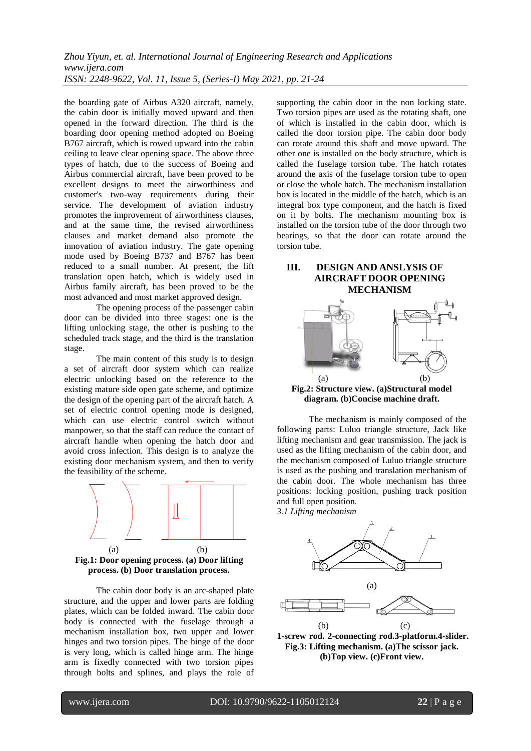the boarding gate of Airbus A320 aircraft, namely, the cabin door is initially moved upward and then opened in the forward direction. The third is the boarding door opening method adopted on Boeing B767 aircraft, which is rowed upward into the cabin ceiling to leave clear opening space. The above three types of hatch, due to the success of Boeing and Airbus commercial aircraft, have been proved to be excellent designs to meet the airworthiness and customer's two-way requirements during their service. The development of aviation industry promotes the improvement of airworthiness clauses, and at the same time, the revised airworthiness clauses and market demand also promote the innovation of aviation industry. The gate opening mode used by Boeing B737 and B767 has been reduced to a small number. At present, the lift translation open hatch, which is widely used in Airbus family aircraft, has been proved to be the most advanced and most market approved design.

The opening process of the passenger cabin door can be divided into three stages: one is the lifting unlocking stage, the other is pushing to the scheduled track stage, and the third is the translation stage.

The main content of this study is to design a set of aircraft door system which can realize electric unlocking based on the reference to the existing mature side open gate scheme, and optimize the design of the opening part of the aircraft hatch. A set of electric control opening mode is designed, which can use electric control switch without manpower, so that the staff can reduce the contact of aircraft handle when opening the hatch door and avoid cross infection. This design is to analyze the existing door mechanism system, and then to verify the feasibility of the scheme.



**process. (b) Door translation process.**

The cabin door body is an arc-shaped plate structure, and the upper and lower parts are folding plates, which can be folded inward. The cabin door body is connected with the fuselage through a mechanism installation box, two upper and lower hinges and two torsion pipes. The hinge of the door is very long, which is called hinge arm. The hinge arm is fixedly connected with two torsion pipes through bolts and splines, and plays the role of

supporting the cabin door in the non locking state. Two torsion pipes are used as the rotating shaft, one of which is installed in the cabin door, which is called the door torsion pipe. The cabin door body can rotate around this shaft and move upward. The other one is installed on the body structure, which is called the fuselage torsion tube. The hatch rotates around the axis of the fuselage torsion tube to open or close the whole hatch. The mechanism installation box is located in the middle of the hatch, which is an integral box type component, and the hatch is fixed on it by bolts. The mechanism mounting box is installed on the torsion tube of the door through two bearings, so that the door can rotate around the torsion tube.

# **III. DESIGN AND ANSLYSIS OF AIRCRAFT DOOR OPENING MECHANISM**



**Fig.2: Structure view. (a)Structural model diagram. (b)Concise machine draft.**

The mechanism is mainly composed of the following parts: Luluo triangle structure, Jack like lifting mechanism and gear transmission. The jack is used as the lifting mechanism of the cabin door, and the mechanism composed of Luluo triangle structure is used as the pushing and translation mechanism of the cabin door. The whole mechanism has three positions: locking position, pushing track position and full open position. *3.1 Lifting mechanism*



**1-screw rod. 2-connecting rod.3-platform.4-slider. Fig.3: Lifting mechanism. (a)The scissor jack. (b)Top view. (c)Front view.**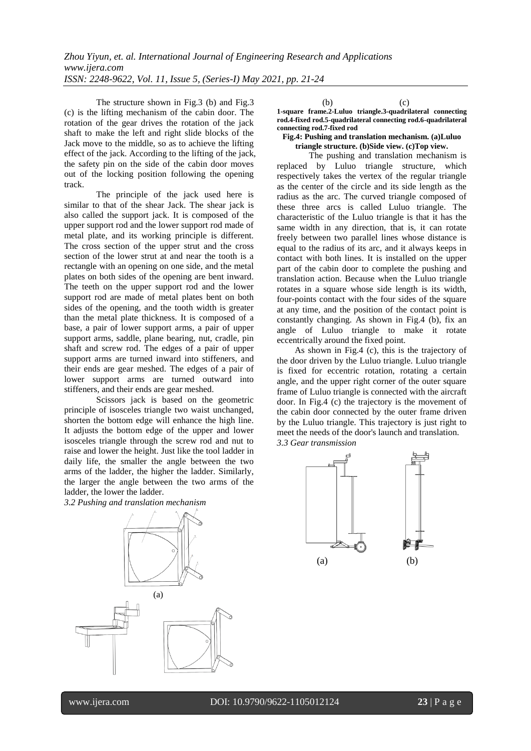The structure shown in Fig.3 (b) and Fig.3 (c) is the lifting mechanism of the cabin door. The rotation of the gear drives the rotation of the jack shaft to make the left and right slide blocks of the Jack move to the middle, so as to achieve the lifting effect of the jack. According to the lifting of the jack, the safety pin on the side of the cabin door moves out of the locking position following the opening track.

The principle of the jack used here is similar to that of the shear Jack. The shear jack is also called the support jack. It is composed of the upper support rod and the lower support rod made of metal plate, and its working principle is different. The cross section of the upper strut and the cross section of the lower strut at and near the tooth is a rectangle with an opening on one side, and the metal plates on both sides of the opening are bent inward. The teeth on the upper support rod and the lower support rod are made of metal plates bent on both sides of the opening, and the tooth width is greater than the metal plate thickness. It is composed of a base, a pair of lower support arms, a pair of upper support arms, saddle, plane bearing, nut, cradle, pin shaft and screw rod. The edges of a pair of upper support arms are turned inward into stiffeners, and their ends are gear meshed. The edges of a pair of lower support arms are turned outward into stiffeners, and their ends are gear meshed.

Scissors jack is based on the geometric principle of isosceles triangle two waist unchanged, shorten the bottom edge will enhance the high line. It adjusts the bottom edge of the upper and lower isosceles triangle through the screw rod and nut to raise and lower the height. Just like the tool ladder in daily life, the smaller the angle between the two arms of the ladder, the higher the ladder. Similarly, the larger the angle between the two arms of the ladder, the lower the ladder.

*3.2 Pushing and translation mechanism*



 $(b)$  (c) **1-square frame.2-Luluo triangle.3-quadrilateral connecting rod.4-fixed rod.5-quadrilateral connecting rod.6-quadrilateral connecting rod.7-fixed rod**

#### **Fig.4: Pushing and translation mechanism. (a)Luluo triangle structure. (b)Side view. (c)Top view.**

The pushing and translation mechanism is replaced by Luluo triangle structure, which respectively takes the vertex of the regular triangle as the center of the circle and its side length as the radius as the arc. The curved triangle composed of these three arcs is called Luluo triangle. The characteristic of the Luluo triangle is that it has the same width in any direction, that is, it can rotate freely between two parallel lines whose distance is equal to the radius of its arc, and it always keeps in contact with both lines. It is installed on the upper part of the cabin door to complete the pushing and translation action. Because when the Luluo triangle rotates in a square whose side length is its width, four-points contact with the four sides of the square at any time, and the position of the contact point is constantly changing. As shown in Fig.4 (b), fix an angle of Luluo triangle to make it rotate eccentrically around the fixed point.

As shown in Fig.4 (c), this is the trajectory of the door driven by the Luluo triangle. Luluo triangle is fixed for eccentric rotation, rotating a certain angle, and the upper right corner of the outer square frame of Luluo triangle is connected with the aircraft door. In Fig.4 (c) the trajectory is the movement of the cabin door connected by the outer frame driven by the Luluo triangle. This trajectory is just right to meet the needs of the door's launch and translation. *3.3 Gear transmission*